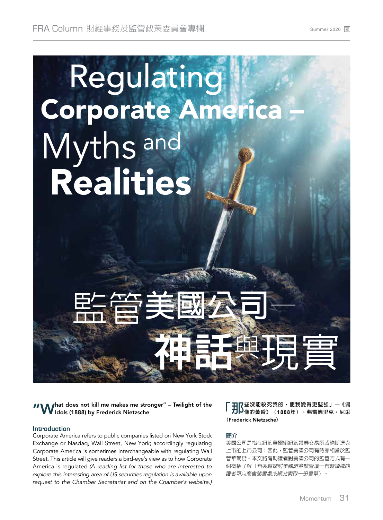

"What does not kill me makes me stronger" – Twilight of the Idols (1888) by Frederick Nietzsche

## **Introduction**

Corporate America refers to public companies listed on New York Stock Exchange or Nasdaq, Wall Street, New York; accordingly regulating Corporate America is sometimes interchangeable with regulating Wall Street. This article will give readers a bird-eye's view as to how Corporate America is regulated (A reading list for those who are interested to explore this interesting area of US securities regulation is available upon request to the Chamber Secretariat and on the Chamber's website.)

**「那些沒能殺死我的,使我變得更堅強」—《偶 像的黃昏》(**1888**年),弗雷德里克** • **尼采 (**Frederick Nietzsche**)**

#### **簡介**

美國公司是指在紐約華爾街紐約證券交易所或納斯達克 上市的上市公司;因此,監管美國公司有時亦相當於監 管華爾街。本文將有助讀者對美國公司的監管方式有一 個概括了解(有興趣探討美國證券監管這一有趣領域的 讀者可向商會秘書處或網站索取一份書單)。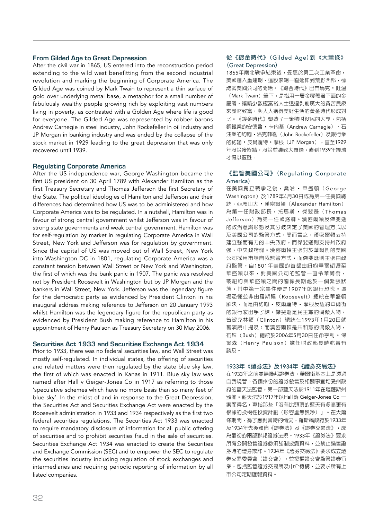# **From Gilded Age to Great Depression**

After the civil war in 1865, US entered into the reconstruction period extending to the wild west benefitting from the second industrial revolution and marking the beginning of Corporate America. The Gilded Age was coined by Mark Twain to represent a thin surface of gold over underlying metal base, a metaphor for a small number of fabulously wealthy people growing rich by exploiting vast numbers living in poverty, as contrasted with a Golden Age where life is good for everyone. The Gilded Age was represented by robber barons Andrew Carnegie in steel industry, John Rockefeller in oil industry and JP Morgan in banking industry and was ended by the collapse of the stock market in 1929 leading to the great depression that was only recovered until 1939.

## **Regulating Corporate America**

After the US independence war, George Washington became the first US president on 30 April 1789 with Alexander Hamilton as the first Treasury Secretary and Thomas Jefferson the first Secretary of the State. The political ideologies of Hamilton and Jefferson and their differences had determined how US was to be administered and how Corporate America was to be regulated. In a nutshell, Hamilton was in favour of strong central government whilst Jefferson was in favour of strong state governments and weak central government. Hamilton was for self-regulation by market in regulating Corporate America in Wall Street, New York and Jefferson was for regulation by government. Since the capital of US was moved out of Wall Street, New York into Washington DC in 1801, regulating Corporate America was a constant tension between Wall Street or New York and Washington, the first of which was the bank panic in 1907. The panic was resolved not by President Roosevelt in Washington but by JP Morgan and the bankers in Wall Street, New York. Jefferson was the legendary figure for the democratic party as evidenced by President Clinton in his inaugural address making reference to Jefferson on 20 January 1993 whilst Hamilton was the legendary figure for the republican party as evidenced by President Bush making reference to Hamilton in his appointment of Henry Paulson as Treasury Secretary on 30 May 2006.

### **Securities Act 1933 and Securities Exchange Act 1934**

Prior to 1933, there was no federal securities law, and Wall Street was mostly self-regulated. In individual states, the offering of securities and related matters were then regulated by the state blue sky law, the first of which was enacted in Kanas in 1911. Blue sky law was named after Hall v Geiger-Jones Co in 1917 as referring to those 'speculative schemes which have no more basis than so many feet of blue sky'. In the midst of and in response to the Great Depression, the Securities Act and Securities Exchange Act were enacted by the Roosevelt administration in 1933 and 1934 respectively as the first two federal securities regulations. The Securities Act 1933 was enacted to require mandatory disclosure of information for all public offering of securities and to prohibit securities fraud in the sale of securities. Securities Exchange Act 1934 was enacted to create the Securities and Exchange Commission (SEC) and to empower the SEC to regulate the securities industry including regulation of stock exchanges and intermediaries and requiring periodic reporting of information by all listed companies.

## **從《鍍金時代》(**Gilded Age**)到《大蕭條》 (**Great Depression**)**

1865年南北戰爭結束後,受惠於第二次工業革命, 美國進入重建期,這股浪潮一直延伸到荒野西部,標 誌著美國公司的開始。《鍍金時代》出自馬克 • 吐溫 (Mark Twain)筆下,是指用一層金覆蓋著下面的金 屬層,暗喻少數極富裕人士透過剝削廣大的貧苦民眾 來發財致富,與人人獲得美好生活的黃金時代形成對 比。《鍍金時代》塑造了一眾斂財役民的大亨,包括 鋼鐵業的安德魯 • 卡內基(Andrew Carnegie)、石 油業的約翰 • 洛克菲勒(John Rockefeller)及銀行業 的約翰·皮爾龐特·摩根(JP Morgan),直至1929 年股災後終結,股災並導致大蕭條,直到1939年經濟 才得以復甦。

## **《監管美國公司》(**Regulating Corporate America**)**

在美國獨立戰爭之後,喬治 • 華盛頓(George Washington)於1789年4月30日成為第一任美國總 統,亞歷山大 • 漢密爾頓(Alexander Hamilton) 為第一任財政部長,托馬斯·傑斐遜(Thomas Jefferson)為第一任國務卿。漢密爾頓及傑斐遜 的政治意識形態及其分歧決定了美國的管理方式以 及美國公司的監管方式。簡而言之,漢密爾頓支持 建立強而有力的中央政府,而傑斐遜則支持州政府 強、中央政府弱。漢密爾頓主張對於華爾街的美國 公司採用市場自我監管方式,而傑斐遜則主張由政 府監管。自1801年美國的首都由紐約華爾街遷至 華盛頓以來,對美國公司的監管一直令華爾街, 或紐約與華盛頓之間的關係長期處於一個緊張狀 態,其中第一宗事件便是1907年的銀行恐慌。這 場恐慌並非由羅斯福(Roosevelt)總統在華盛頓 解決,而是由約翰 • 皮爾龐特 • 摩根及紐約華爾街 的銀行家出手了結。傑斐遜是民主黨的偶像人物, 曾被克林頓(Clinton)總統在1993年1月20日就 職演說中提及;而漢密爾頓是共和黨的偶像人物, 布殊(Bush)總統於2006年5月30日任命亨利 • 保 爾森(Henry Paulson)擔任財政部長時亦曾有 談及。

#### 1933**年《證券法》及**1934**年《證券交易法》**

在1933年之前並無聯邦證券法,華爾街基本上是透過 自我規管。各個州份的證券發售及相關事宜均受州政 府的藍天法監管,第一部藍天法於1911年在堪薩斯州 頒佈。藍天法於1917年以Hall 訴 Geiger-Jones Co 一 案而得名,專指那些「沒有比頭頂的藍天有多高更有 根據的投機性投資計劃(形容虛無飄渺)」。在大蕭 條期間,為了應對當時的情況,羅斯福政府於1933年 及1934年先後頒佈《證券法》及《證券交易法》,成 為最初的兩部聯邦證券法規。1933年《證券法》要求 所有公開發售證券必須強制披露資料,並禁止銷售證 券時的證券欺詐。1934年《證券交易法》要求成立證 券交易委員會(證交會),並授權證交會監管證券行 業,包括監管證券交易所及中介機構,並要求所有上 市公司定期匯報資料。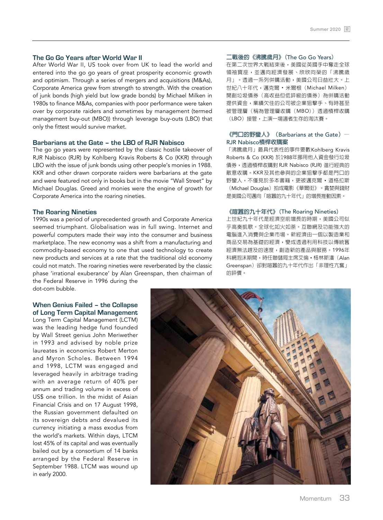### **The Go Go Years after World War II**

After World War II, US took over from UK to lead the world and entered into the go go years of great prosperity economic growth and optimism. Through a series of mergers and acquisitions (M&As), Corporate America grew from strength to strength. With the creation of junk bonds (high yield but low grade bonds) by Michael Milken in 1980s to finance M&As, companies with poor performance were taken over by corporate raiders and sometimes by management (termed management buy-out (MBO)) through leverage buy-outs (LBO) that only the fittest would survive market.

## **Barbarians at the Gate – the LBO of RJR Nabisco**

The go go years were represented by the classic hostile takeover of RJR Nabisco (RJR) by Kohlberg Kravis Roberts & Co (KKR) through LBO with the issue of junk bonds using other people's monies in 1988. KKR and other drawn corporate raiders were barbarians at the gate and were featured not only in books but in the movie "Wall Street" by Michael Douglas. Greed and monies were the engine of growth for Corporate America into the roaring nineties.

#### **The Roaring Nineties**

1990s was a period of unprecedented growth and Corporate America seemed triumphant. Globalisation was in full swing. Internet and powerful computers made their way into the consumer and business marketplace. The new economy was a shift from a manufacturing and commodity-based economy to one that used technology to create new products and services at a rate that the traditional old economy could not match. The roaring nineties were reverberated by the classic phase 'irrational exuberance' by Alan Greenspan, then chairman of the Federal Reserve in 1996 during the

dot-com bubble.

#### **When Genius Failed – the Collapse of Long Term Capital Management**

Long Term Capital Management (LCTM) was the leading hedge fund founded by Wall Street genius John Meriwether in 1993 and advised by noble prize laureates in economics Robert Merton and Myron Scholes. Between 1994 and 1998, LCTM was engaged and leveraged heavily in arbitrage trading with an average return of 40% per annum and trading volume in excess of US\$ one trillion. In the midst of Asian Financial Crisis and on 17 August 1998, the Russian government defaulted on its sovereign debts and devalued its currency initiating a mass exodus from the world's markets. Within days, LTCM lost 45% of its capital and was eventually bailed out by a consortium of 14 banks arranged by the Federal Reserve in September 1988. LTCM was wound up in early 2000.

#### **二戰後的《沸騰歲月》(**The Go Go Years**)**

在第二次世界大戰結束後,美國從英國手中奪走全球 領袖寶座,並邁向經濟發展、欣欣向榮的「沸騰歲 月」。透過一系列併購活動,美國公司日益壯大。上 世紀八十年代,邁克爾 • 米爾根(Michael Milken) 開創垃圾債券(高收益但低評級的債券)為併購活動 提供資金,業績欠佳的公司被企業狙擊手、有時甚至 被管理層(稱為管理層收購(MBO))透過槓桿收購 (LBO)接管,上演一場適者生存的淘汰賽。

## **《門口的野蠻人》(**Barbarians at the Gate**)—** RJR Nabisco**槓桿收購案**

「沸騰歲月」最具代表性的事件要數Kohlberg Kravis Roberts & Co (KKR) 於1988年挪用他人資金發行垃圾 債券,透過槓桿收購對 RJR Nabisco (RJR) 進行經典的 敵意收購。KKR及其他參與的企業狙擊手都是門口的 野蠻人,不僅見於多本書籍,更被邁克爾 • 道格拉斯 (Michael Douglas)拍成電影《華爾街》。貪婪與錢財 是美國公司邁向「喧囂的九十年代」的增長推動因素。

# **《喧囂的九十年代》(**The Roaring Nineties**)**

上世紀九十年代是經濟空前增長的時期,美國公司似 乎高奏凱歌。全球化如火如荼。互聯網及功能強大的 電腦進入消費與企業市場。新經濟由一個以製造業和 商品交易為基礎的經濟,變成透過利用科技以傳統舊 經濟無法趕及的速度,創造新的產品與服務。1996年 科網泡沫期間,時任聯儲局主席艾倫 • 格林斯潘(Alan **Greenspan**) 卻對喧囂的九十年代作出「非理性亢奮」 的評價。

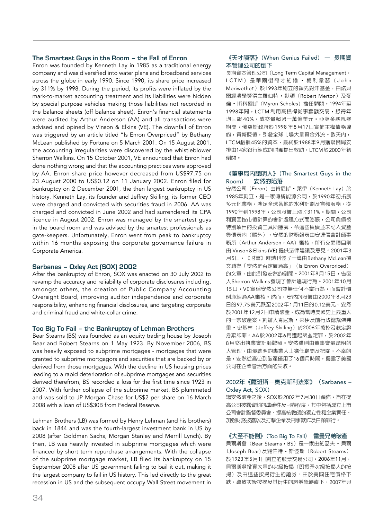# **The Smartest Guys in the Room – the Fall of Enron**

Enron was founded by Kenneth Lay in 1985 as a traditional energy company and was diversified into water plans and broadband services across the globe in early 1990. Since 1990, its share price increased by 311% by 1998. During the period, its profits were inflated by the mark-to-market accounting treatment and its liabilities were hidden by special purpose vehicles making those liabilities not recorded in the balance sheets (off balance sheet). Enron's financial statements were audited by Arthur Anderson (AA) and all transactions were advised and opined by Vinson & Elkins (VE). The downfall of Enron was triggered by an article titled "Is Enron Overpriced" by Bethany McLean published by Fortune on 5 March 2001. On 15 August 2001, the accounting irregularities were discovered by the whistleblower Sherron Walkins. On 15 October 2001, VE announced that Enron had done nothing wrong and that the accounting practices were approved by AA. Enron share price however decreased from US\$97.75 on 23 August 2000 to US\$0.12 on 11 January 2002. Enron filed for bankruptcy on 2 December 2001, the then largest bankruptcy in US history. Kenneth Lay, its founder and Jeffrey Skilling, its former CEO were charged and convicted with securities fraud in 2006. AA was charged and convicted in June 2002 and had surrendered its CPA licence in August 2002. Enron was managed by the smartest guys in the board room and was advised by the smartest professionals as gate-keepers. Unfortunately, Enron went from peak to bankruptcy within 16 months exposing the corporate governance failure in Corporate America.

# **Sarbanes – Oxley Act (SOX) 2002**

After the bankruptcy of Enron, SOX was enacted on 30 July 2002 to revamp the accuracy and reliability of corporate disclosures including, amongst others, the creation of Public Company Accounting Oversight Board, improving auditor independence and corporate responsibility, enhancing financial disclosures, and targeting corporate and criminal fraud and white-collar crime.

## **Too Big To Fail – the Bankruptcy of Lehman Brothers**

Bear Stearns (BS) was founded as an equity trading house by Joseph Bear and Robert Stearns on 1 May 1923. By November 2006, BS was heavily exposed to subprime mortgages - mortgages that were granted to subprime mortgagors and securities that are backed by or derived from those mortgages. With the decline in US housing prices leading to a rapid deterioration of subprime mortgages and securities derived therefrom, BS recorded a loss for the first time since 1923 in 2007. With further collapse of the subprime market, BS plummeted and was sold to JP Morgan Chase for US\$2 per share on 16 March 2008 with a loan of US\$30B from Federal Reserve.

Lehman Brothers (LB) was formed by Henry Lehman (and his brothers) back in 1844 and was the fourth-largest investment bank in US by 2008 (after Goldman Sachs, Morgan Stanley and Merrill Lynch). By then, LB was heavily invested in subprime mortgages which were financed by short term repurchase arrangements. With the collapse of the subprime mortgage market, LB filed its bankruptcy on 15 September 2008 after US government failing to bail it out, making it the largest company to fail in US history. This led directly to the great recession in US and the subsequent occupy Wall Street movement in

## **《天才隕落》(**When Genius Failed**) – 長期資 本管理公司的倒下**

長期資本管理公司 (Long Term Capital Management, LCTM)是華爾街奇才約翰 · 梅利韋瑟 (John Meriwether)於1993年創立的領先對沖基金,由諾貝 爾經濟學獎得主羅伯特 · 默頓 (Robert Merton) 及麥 倫 • 斯科爾斯(Myron Scholes)擔任顧問。1994年至 1998年間,LCTM 利用高槓桿從事套戥交易,錄得年 均回報 40%,成交量超過一萬億美元。亞洲金融風暴 期間,俄羅斯政府於1998 年8月17日宣佈主權債務違 約,貨幣貶值,引發全球市場大量資金外流。數天內, LTCM虧損45%的資本,最終於1988年9月獲聯儲局安 排由14家銀行組成的財團提出救助。LTCM於2000年初 倒閉。

### **《董事局內聰明人》(**The Smartest Guys in the Room**) —安然的陷落**

安然公司 (Enron) 由肯尼斯 · 萊伊 (Kenneth Lay) 於 1985年創立,是一家傳統能源公司,於1990年初拓展 多元化業務,涉足全球各地的水利計劃及寬頻服務。從 1990年到1998年,公司股價上漲了311%。期間,公司 利潤因按市值計算的會計處理方式而膨脹,公司負債被 特別項目的投資工具所隱藏,令這些負債並未記入資產 負債表內(賬外)。安然的財務報表由安達信會計師事 務所 (Arthur Anderson, AA) 審核, 所有交易項目則 由 Vinson&Elkins (VE) 提供法律建議及意見。2001年3 月5日,《財富》雜誌刊登了一篇由Bethany McLean撰 文題為「安然是否定價過高」(Is Enron Overpriced) 的文章,由此引發安然的倒閉。2001年8月15日,告密 人Sherron Walkins發現了會計違規行為。2001年10月 15日,VE宣稱安然公司並無任何不當行為,而會計慣 例亦經過AA審核。然而,安然的股價由2000年8月23 日的97.75美元跌至2002年1月11日的0.12美元。安然 於2001年12月2日申請破產,成為當時美國史上最重大 的一宗破產案。創辦人肯尼斯 • 萊伊及前行政總裁傑弗 里·史基林 (Jeffrey Skilling) 於2006年被控及裁定證 券欺詐罪。AA於2002年6月遭起訴並定罪,於2002年 8月交出執業會計師牌照。安然雖則由董事會最聰明的 人管理,由最聰明的專業人士擔任顧問及把關,不幸的 是,安然從高位到破產僅用了16個月時間,揭露了美國 公司在企業管治方面的失敗。

### 2002**年《薩班斯–奧克斯利法案》(**Sarbanes – Oxley Act, SOX**)**

繼安然破產之後,SOX於2002年7月30日頒佈,旨在提 高公司披露資料的準確性及可靠程度,其中包括成立上市 公司會計監督委員會、提高核數師的獨立性和企業責任、 加強財務披露以及打擊企業及刑事欺詐及白領罪行。

**《大至不能倒》(**Too Big To Fail**)—雷曼兄弟破產** 貝爾斯登 (Bear Stearns, BS) 是一家由約瑟夫 · 貝爾 (Joseph Bear)及羅伯特 • 斯登斯(Robert Stearns) 於1923年5月1日創立的股票交易公司。2006年11月, 貝爾斯登投資大量的次級按揭(即授予次級按揭人的按 揭)及由這些按揭衍生的證券。由於美國住宅價格下 跌,導致次級按揭及其衍生的證券急轉直下,2007年貝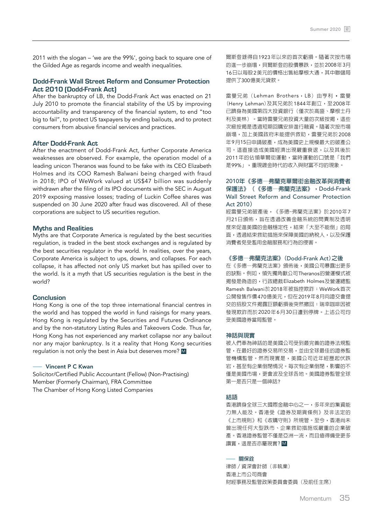2011 with the slogan – 'we are the 99%', going back to square one of the Gilded Age as regards income and wealth inequalities.

# **Dodd-Frank Wall Street Reform and Consumer Protection Act 2010 (Dodd-Frank Act)**

After the bankruptcy of LB, the Dodd-Frank Act was enacted on 21 July 2010 to promote the financial stability of the US by improving accountability and transparency of the financial system, to end "too big to fail", to protect US taxpayers by ending bailouts, and to protect consumers from abusive financial services and practices.

#### **After Dodd-Frank Act**

After the enactment of Dodd-Frank Act, further Corporate America weaknesses are observed. For example, the operation model of a leading unicon Theranos was found to be fake with its CEO Elizabeth Holmes and its COO Ramesh Balwani being charged with fraud in 2018; IPO of WeWork valued at US\$47 billion was suddenly withdrawn after the filing of its IPO documents with the SEC in August 2019 exposing massive losses; trading of Luckin Coffee shares was suspended on 30 June 2020 after fraud was discovered. All of these corporations are subject to US securities regution.

#### **Myths and Realities**

Myths are that Corporate America is regulated by the best securities regulation, is traded in the best stock exchanges and is regulated by the best securities regulator in the world. In realities, over the years, Corporate America is subject to ups, downs, and collapses. For each collapse, it has affected not only US market but has spilled over to the world. Is it a myth that US securities regulation is the best in the world?

# **Conclusion**

Hong Kong is one of the top three international financial centres in the world and has topped the world in fund raisings for many years. Hong Kong is regulated by the Securities and Futures Ordinance and by the non-statutory Listing Rules and Takeovers Code. Thus far, Hong Kong has not experienced any market collapse nor any bailout nor any major bankruptcy. Is it a reality that Hong Kong securities regulation is not only the best in Asia but deserves more? M

# Vincent P C Kwan

Solicitor/Certified Public Accountant (Fellow) (Non-Practising) Member (Formerly Chairman), FRA Committee The Chamber of Hong Kong Listed Companies

爾斯登錄得自1923年以來的首次虧損。隨著次按市場 的進一步崩塌,貝爾斯登的股價暴跌,並於2008年3月 16日以每股2美元的價格出售給摩根大通,其中聯儲局 提供了300億美元貸款。

雷曼兄弟 (Lehman Brothers, LB) 由亨利 • 雷曼 (Henry Lehman) 及其兄弟於1844年創立, 至2008年 已躋身為美國第四大投資銀行(僅次於高盛、摩根士丹 利及美林)。當時雷曼兄弟投資大量的次級按揭,這些 次級按揭是透過短期回購安排進行融資。隨著次按市場 崩塌,加上美國政府未能提供救助,雷曼兄弟於2008 年9月15日申請破產,成為美國史上規模最大的破產公 司。這直接造成美國經濟出現嚴重衰退,以及其後於 2011年的佔領華爾街運動,當時運動的口號是「我們 是99%」,重現鍍金時代的收入與財富不均的現象。

# 2010**年《多德—弗蘭克華爾街金融改革與消費者 保護法》(《多德—弗蘭克法案》,**Dodd-Frank Wall Street Reform and Consumer Protection Act 2010**)**

經雷曼兄弟破產後,《多德-弗蘭克法案》於2010年7 月21日頒佈,旨在透過改善金融系統的問責制及透明 度來促進美國的金融穩定性,結束「大至不能倒」的局 面,透過結束救助措施來保障美國的納稅人,以及保護 消費者免受濫用金融服務和行為的侵害。

#### **《多德—弗蘭克法案》(**Dodd-Frank Act**)之後**

在《多德—弗蘭克法案》頒佈後,美國公司暴露出更多 的缺點。例如,領先獨角獸公司Theranos的營運模式被 揭發是偽造的,行政總裁Elizabeth Holmes及營運總監 Ramesh Balwani於2018年被指控欺詐;WeWork首次 公開發售作價470億美元,但在2019年8月向證交會提 交的招股文件揭露巨額虧損後突然撤回;瑞幸咖啡因被 發現欺詐而於2020年6月30日遭到停牌。上述公司均 受美國證券當局監管。

#### **神話與現實**

被人們奉為神話的是美國公司受到最完善的證券法規監 管,在最好的證券交易所交易,並由全球最佳的證券監 管機構監管。然而現實是,美國公司近年經歷起伏跌 宕,甚至有企業倒閉情況。每次有企業倒閉,影響的不 僅是美國市場,更會波及全球各地。美國證券監管全球 第一是否只是一個神話?

#### **結語**

香港躋身全球三大國際金融中心之一,多年來的集資能 力無人能及。香港受《證券及期貨條例》及非法定的 《上市規則》和《收購守則》所規管。至今,香港尚未 曾出現任何大型跌市、企業救助措施或嚴重的企業破 産。香港證券監管不僅是亞洲一流,而且值得備受更多 讚賞,這是否亦屬現實? M

#### **關保銓**

律師/資深會計師(非執業) 香港上市公司商會 財經事務及監管政策委員會委員(及前任主席)